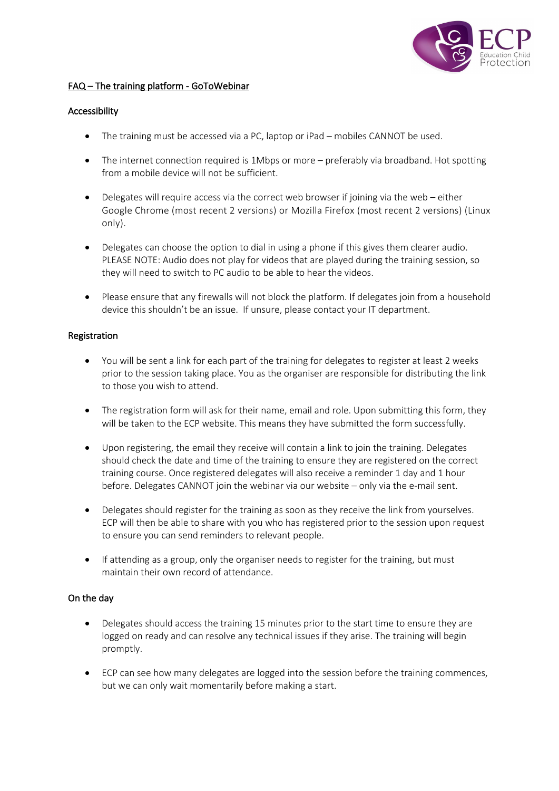

# FAQ – The training platform - GoToWebinar

## Accessibility

- The training must be accessed via a PC, laptop or iPad mobiles CANNOT be used.
- The internet connection required is 1Mbps or more preferably via broadband. Hot spotting from a mobile device will not be sufficient.
- Delegates will require access via the correct web browser if joining via the web either Google Chrome (most recent 2 versions) or Mozilla Firefox (most recent 2 versions) (Linux only).
- Delegates can choose the option to dial in using a phone if this gives them clearer audio. PLEASE NOTE: Audio does not play for videos that are played during the training session, so they will need to switch to PC audio to be able to hear the videos.
- Please ensure that any firewalls will not block the platform. If delegates join from a household device this shouldn't be an issue. If unsure, please contact your IT department.

## Registration

- You will be sent a link for each part of the training for delegates to register at least 2 weeks prior to the session taking place. You as the organiser are responsible for distributing the link to those you wish to attend.
- The registration form will ask for their name, email and role. Upon submitting this form, they will be taken to the ECP website. This means they have submitted the form successfully.
- Upon registering, the email they receive will contain a link to join the training. Delegates should check the date and time of the training to ensure they are registered on the correct training course. Once registered delegates will also receive a reminder 1 day and 1 hour before. Delegates CANNOT join the webinar via our website – only via the e-mail sent.
- Delegates should register for the training as soon as they receive the link from yourselves. ECP will then be able to share with you who has registered prior to the session upon request to ensure you can send reminders to relevant people.
- If attending as a group, only the organiser needs to register for the training, but must maintain their own record of attendance.

### On the day

- Delegates should access the training 15 minutes prior to the start time to ensure they are logged on ready and can resolve any technical issues if they arise. The training will begin promptly.
- ECP can see how many delegates are logged into the session before the training commences, but we can only wait momentarily before making a start.